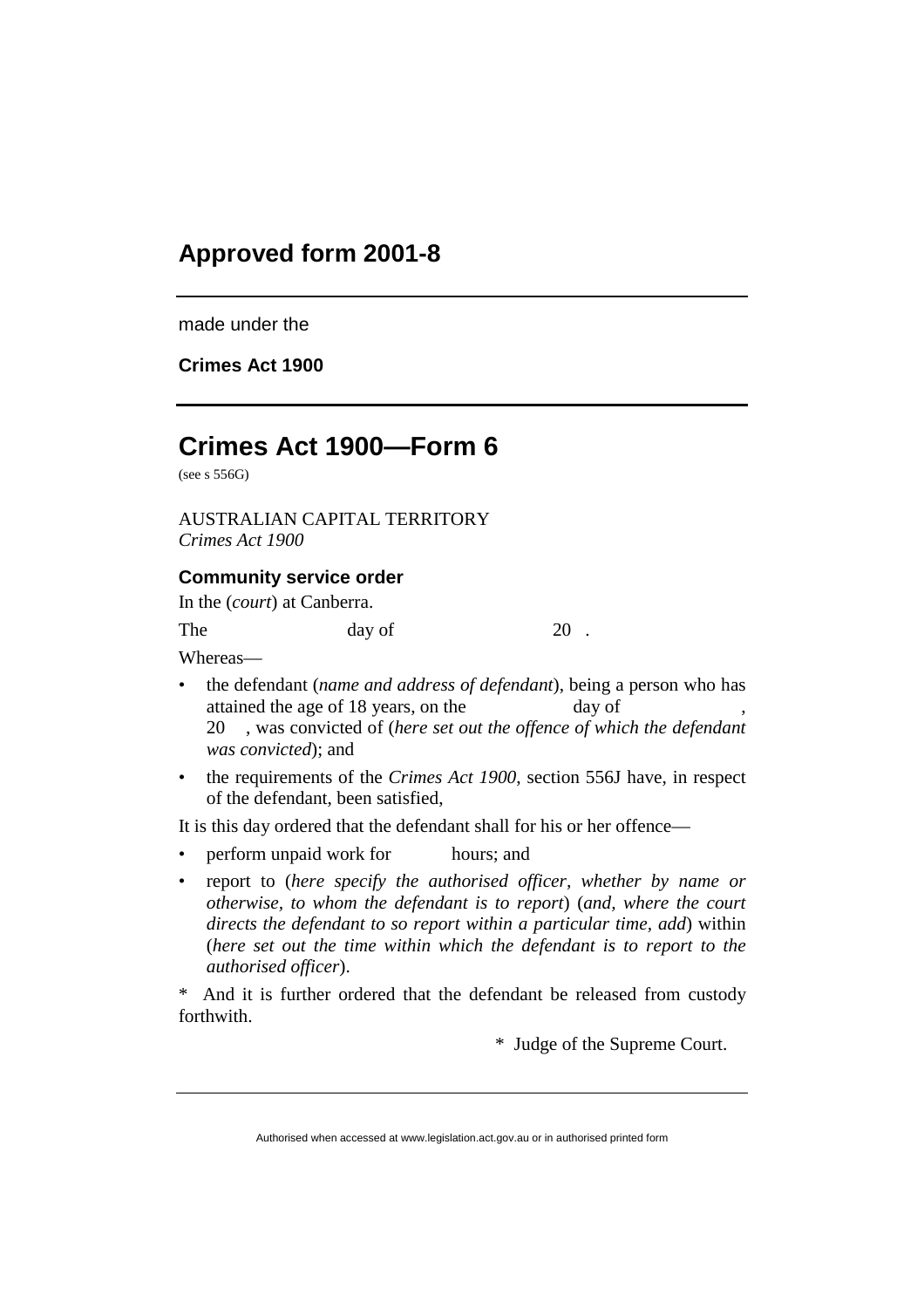## **Approved form 2001-8**

made under the

**Crimes Act 1900**

## **Crimes Act 1900—Form 6**

(see s 556G)

AUSTRALIAN CAPITAL TERRITORY *Crimes Act 1900*

## **Community service order**

In the (*court*) at Canberra.

| The | day of | 20 |
|-----|--------|----|
|     |        |    |

Whereas—

- the defendant (*name and address of defendant*), being a person who has attained the age of 18 years, on the day of 20 , was convicted of (*here set out the offence of which the defendant was convicted*); and
- the requirements of the *Crimes Act 1900*, section 556J have, in respect of the defendant, been satisfied,

It is this day ordered that the defendant shall for his or her offence—

- perform unpaid work for hours; and
- report to (*here specify the authorised officer, whether by name or otherwise, to whom the defendant is to report*) (*and, where the court directs the defendant to so report within a particular time, add*) within (*here set out the time within which the defendant is to report to the authorised officer*).

\* And it is further ordered that the defendant be released from custody forthwith.

\* Judge of the Supreme Court.

Authorised when accessed at www.legislation.act.gov.au or in authorised printed form